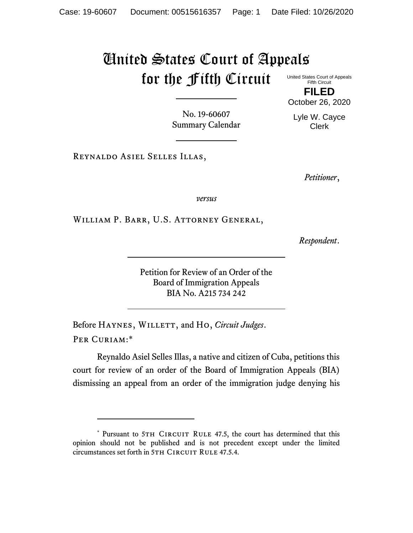## United States Court of Appeals for the Fifth Circuit

United States Court of Appeals Fifth Circuit **FILED**

October 26, 2020

Lyle W. Cayce Clerk

No. 19-60607 Summary Calendar

Reynaldo Asiel Selles Illas,

*Petitioner*,

*versus*

William P. Barr, U.S. Attorney General,

*Respondent*.

Petition for Review of an Order of the Board of Immigration Appeals BIA No. A215 734 242

Before HAYNES, WILLETT, and Ho, *Circuit Judges*. Per Curiam:\*

Reynaldo Asiel Selles Illas, a native and citizen of Cuba, petitions this court for review of an order of the Board of Immigration Appeals (BIA) dismissing an appeal from an order of the immigration judge denying his

<sup>\*</sup> Pursuant to 5TH CIRCUIT RULE 47.5, the court has determined that this opinion should not be published and is not precedent except under the limited circumstances set forth in 5TH CIRCUIT RULE 47.5.4.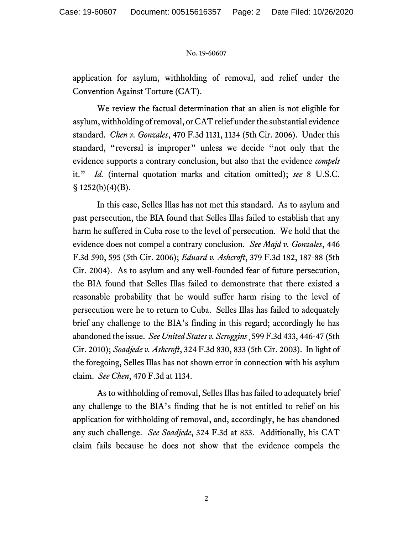## No. 19-60607

application for asylum, withholding of removal, and relief under the Convention Against Torture (CAT).

We review the factual determination that an alien is not eligible for asylum, withholding of removal, or CAT relief under the substantial evidence standard. *Chen v. Gonzales*, 470 F.3d 1131, 1134 (5th Cir. 2006). Under this standard, "reversal is improper" unless we decide "not only that the evidence supports a contrary conclusion, but also that the evidence *compels* it." *Id.* (internal quotation marks and citation omitted); *see* 8 U.S.C.  $\S$  1252(b)(4)(B).

In this case, Selles Illas has not met this standard. As to asylum and past persecution, the BIA found that Selles Illas failed to establish that any harm he suffered in Cuba rose to the level of persecution. We hold that the evidence does not compel a contrary conclusion. *See Majd v. Gonzales*, 446 F.3d 590, 595 (5th Cir. 2006); *Eduard v. Ashcroft*, 379 F.3d 182, 187-88 (5th Cir. 2004). As to asylum and any well-founded fear of future persecution, the BIA found that Selles Illas failed to demonstrate that there existed a reasonable probability that he would suffer harm rising to the level of persecution were he to return to Cuba. Selles Illas has failed to adequately brief any challenge to the BIA's finding in this regard; accordingly he has abandoned the issue. *See United States v. Scroggins*¸599 F.3d 433, 446-47 (5th Cir. 2010); *Soadjede v. Ashcroft*, 324 F.3d 830, 833 (5th Cir. 2003). In light of the foregoing, Selles Illas has not shown error in connection with his asylum claim. *See Chen*, 470 F.3d at 1134.

As to withholding of removal, Selles Illas has failed to adequately brief any challenge to the BIA's finding that he is not entitled to relief on his application for withholding of removal, and, accordingly, he has abandoned any such challenge. *See Soadjede*, 324 F.3d at 833. Additionally, his CAT claim fails because he does not show that the evidence compels the